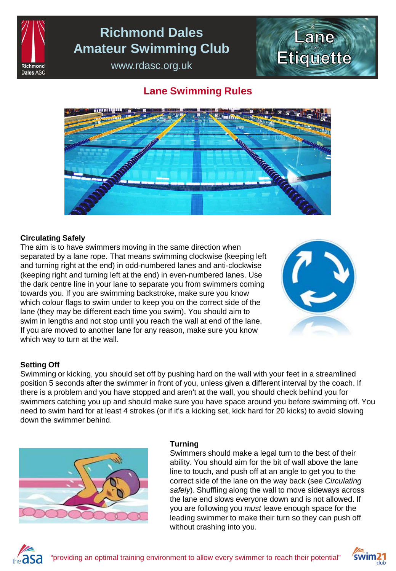

## **Richmond Dales Amateur Swimming Club**

www.rdasc.org.uk

# **Lane** Etiquette

### **Lane Swimming Rules**



### **Circulating Safely**

The aim is to have swimmers moving in the same direction when separated by a lane rope. That means swimming clockwise (keeping left and turning right at the end) in odd-numbered lanes and anti-clockwise (keeping right and turning left at the end) in even-numbered lanes. Use the dark centre line in your lane to separate you from swimmers coming towards you. If you are swimming backstroke, make sure you know which colour flags to swim under to keep you on the correct side of the lane (they may be different each time you swim). You should aim to swim in lengths and not stop until you reach the wall at end of the lane. If you are moved to another lane for any reason, make sure you know which way to turn at the wall.



### **Setting Off**

Swimming or kicking, you should set off by pushing hard on the wall with your feet in a streamlined position 5 seconds after the swimmer in front of you, unless given a different interval by the coach. If there is a problem and you have stopped and aren't at the wall, you should check behind you for swimmers catching you up and should make sure you have space around you before swimming off. You need to swim hard for at least 4 strokes (or if it's a kicking set, kick hard for 20 kicks) to avoid slowing down the swimmer behind.



### **Turning**

Swimmers should make a legal turn to the best of their ability. You should aim for the bit of wall above the lane line to touch, and push off at an angle to get you to the correct side of the lane on the way back (see *Circulating safely*). Shuffling along the wall to move sideways across the lane end slows everyone down and is not allowed. If you are following you *must* leave enough space for the leading swimmer to make their turn so they can push off without crashing into you.